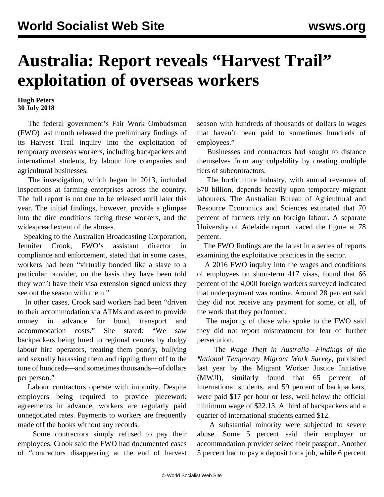## **Australia: Report reveals "Harvest Trail" exploitation of overseas workers**

## **Hugh Peters 30 July 2018**

 The federal government's Fair Work Ombudsman (FWO) last month released the preliminary findings of its Harvest Trail inquiry into the exploitation of temporary overseas workers, including backpackers and international students, by labour hire companies and agricultural businesses.

 The investigation, which began in 2013, included inspections at farming enterprises across the country. The full report is not due to be released until later this year. The initial findings, however, provide a glimpse into the dire conditions facing these workers, and the widespread extent of the abuses.

 Speaking to the Australian Broadcasting Corporation, Jennifer Crook, FWO's assistant director in compliance and enforcement, stated that in some cases, workers had been "virtually bonded like a slave to a particular provider, on the basis they have been told they won't have their visa extension signed unless they see out the season with them."

 In other cases, Crook said workers had been "driven to their accommodation via ATMs and asked to provide money in advance for bond, transport and accommodation costs." She stated: "We saw backpackers being lured to regional centres by dodgy labour hire operators, treating them poorly, bullying and sexually harassing them and ripping them off to the tune of hundreds—and sometimes thousands—of dollars per person."

 Labour contractors operate with impunity. Despite employers being required to provide piecework agreements in advance, workers are regularly paid unnegotiated rates. Payments to workers are frequently made off the books without any records.

 Some contractors simply refused to pay their employees. Crook said the FWO had documented cases of "contractors disappearing at the end of harvest season with hundreds of thousands of dollars in wages that haven't been paid to sometimes hundreds of employees."

 Businesses and contractors had sought to distance themselves from any culpability by creating multiple tiers of subcontractors.

 The horticulture industry, with annual revenues of \$70 billion, depends heavily upon temporary migrant labourers. The Australian Bureau of Agricultural and Resource Economics and Sciences estimated that 70 percent of farmers rely on foreign labour. A separate University of Adelaide report placed the figure at 78 percent.

 The FWO findings are the latest in a series of reports examining the exploitative practices in the sector.

 A 2016 FWO inquiry into the wages and conditions of employees on short-term 417 visas, found that 66 percent of the 4,000 foreign workers surveyed indicated that underpayment was routine. Around 28 percent said they did not receive any payment for some, or all, of the work that they performed.

 The majority of those who spoke to the FWO said they did not report mistreatment for fear of further persecution.

 The *Wage Theft in Australia—Findings of the National Temporary Migrant Work Survey,* published last year by the Migrant Worker Justice Initiative (MWJI), similarly found that 65 percent of international students, and 59 percent of backpackers, were paid \$17 per hour or less, well below the official minimum wage of \$22.13. A third of backpackers and a quarter of international students earned \$12.

 A substantial minority were subjected to severe abuse. Some 5 percent said their employer or accommodation provider seized their passport. Another 5 percent had to pay a deposit for a job, while 6 percent